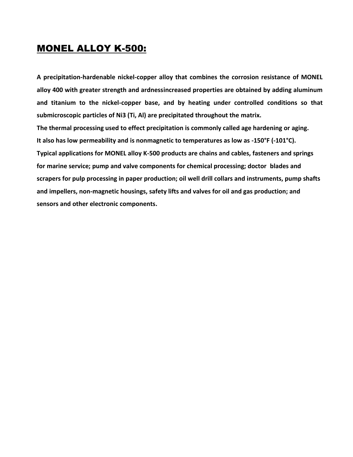#### MONEL ALLOY K-500:

**A precipitation-hardenable nickel-copper alloy that combines the corrosion resistance of MONEL alloy 400 with greater strength and ardnessincreased properties are obtained by adding aluminum and titanium to the nickel-copper base, and by heating under controlled conditions so that submicroscopic particles of Ni3 (Ti, Al) are precipitated throughout the matrix. The thermal processing used to effect precipitation is commonly called age hardening or aging. It also has low permeability and is nonmagnetic to temperatures as low as -150°F (-101°C). Typical applications for MONEL alloy K-500 products are chains and cables, fasteners and springs for marine service; pump and valve components for chemical processing; doctor blades and scrapers for pulp processing in paper production; oil well drill collars and instruments, pump shafts and impellers, non-magnetic housings, safety lifts and valves for oil and gas production; and sensors and other electronic components.**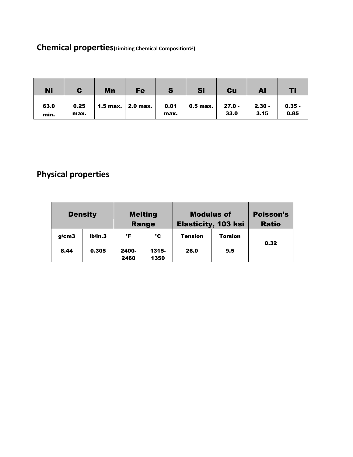## **Chemical properties(Limiting Chemical Composition%)**

| <b>Ni</b>    |              | Mn | Fe                  | S            | Si                       | $Cu$             | Al               |                  |
|--------------|--------------|----|---------------------|--------------|--------------------------|------------------|------------------|------------------|
| 63.0<br>min. | 0.25<br>max. |    | 1.5 max.   2.0 max. | 0.01<br>max. | $\vert$ 0.5 max. $\vert$ | $27.0 -$<br>33.0 | $2.30 -$<br>3.15 | $0.35 -$<br>0.85 |

## **Physical properties**

| <b>Density</b> |         | <b>Melting</b><br>Range |               | <b>Modulus of</b><br><b>Elasticity, 103 ksi</b> | Poisson's<br><b>Ratio</b> |      |  |
|----------------|---------|-------------------------|---------------|-------------------------------------------------|---------------------------|------|--|
| q/cm3          | Ib/in.3 | °F                      | °C            | <b>Tension</b>                                  | <b>Torsion</b>            |      |  |
| 8.44           | 0.305   | 2400-<br>2460           | 1315-<br>1350 | 26.0                                            | 9.5                       | 0.32 |  |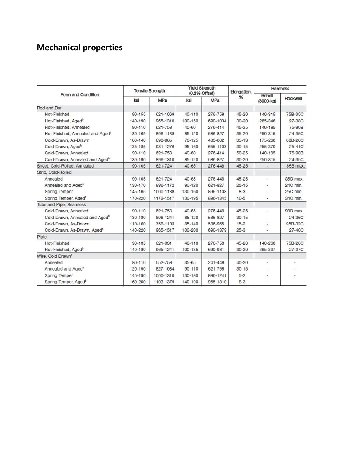# **Mechanical properties**

|                                              | <b>Tensile Strength</b> |           | <b>Yield Strength</b><br>(0.2% Offset) |             | Elongation, | <b>Hardness</b>                 |          |
|----------------------------------------------|-------------------------|-----------|----------------------------------------|-------------|-------------|---------------------------------|----------|
| Form and Condition                           | <b>MPa</b><br>ksi       |           | <b>MPa</b><br>ksl                      |             | %           | <b>Brinell</b><br>$(3000 - kq)$ | Rockwell |
| <b>Rod and Bar</b>                           |                         |           |                                        |             |             |                                 |          |
| <b>Hot-Finished</b>                          | $90 - 155$              | 621-1069  | $40 - 110$                             | 276-758     | $45 - 20$   | 140-315                         | 75B-35C  |
| Hot-Finished, Aged <sup>b</sup>              | 140-190                 | 965-1310  | 100-150                                | 690-1034    | $30 - 20$   | 265-346                         | 27-38C   |
| Hot-Finished, Annealed                       | $90 - 110$              | 621-758   | $40 - 60$                              | 276-414     | $45 - 25$   | 140-185                         | 75-90B   |
| Hot-Finished, Annealed and Aged <sup>b</sup> | 130-165                 | 896-1138  | 85-120                                 | 586-827     | $35 - 20$   | 250-315                         | 24-35C   |
| Cold-Drawn, As-Drawn                         | $100 - 140$             | 690-965   | $70 - 125$                             | 483-862     | $35 - 13$   | 175-260                         | 88B-26C  |
| Cold-Drawn, Aged <sup>b</sup>                | 135-185                 | 931-1276  | 95-160                                 | 655-1103    | $30 - 15$   | 255-370                         | $25-41C$ |
| Cold-Drawn, Annealed                         | $90 - 110$              | 621-758   | $40 - 60$                              | 276-414     | $50 - 25$   | 140-185                         | 75-90B   |
| Cold-Drawn, Annealed and Aged <sup>b</sup>   | 130-190                 | 896-1310  | 85-120                                 | 586-827     | $30 - 20$   | 250-315                         | 24-35C   |
| Sheet, Cold-Rolled, Annealed                 | $90 - 105$              | 621-724   | $40 - 65$                              | 276-448     | $45 - 25$   |                                 | 85B max. |
| Strip, Cold-Rolled                           |                         |           |                                        |             |             |                                 |          |
| Annealed                                     | $90 - 105$              | 621-724   | $40 - 65$                              | 276-448     | $45 - 25$   |                                 | 85B max. |
| Annealed and Aged <sup>b</sup>               | 130-170                 | 896-1172  | $90 - 120$                             | 621-827     | $25 - 15$   |                                 | 24C min. |
| <b>Spring Temper</b>                         | 145-165                 | 1000-1138 | 130-160                                | 896-1103    | $8 - 3$     |                                 | 25C min. |
| Spring Temper, Aged <sup>b</sup>             | 170-220                 | 1172-1517 | 130-195                                | 896-1345    | $10-5$      |                                 | 34C min. |
| Tube and Pipe, Seamless                      |                         |           |                                        |             |             |                                 |          |
| Cold-Drawn, Annealed                         | $90 - 110$              | 621-758   | $40 - 65$                              | 276-448     | $45 - 25$   | ۰                               | 90B max. |
| Cold-Drawn, Annealed and Aged <sup>b</sup>   | 130-180                 | 896-1241  | 85-120                                 | 586-827     | $30 - 15$   |                                 | 24-36C   |
| Cold-Drawn, As-Drawn                         | 110-160                 | 758-1103  | 85-140                                 | 586-965     | $15 - 2$    |                                 | 95B-32C  |
| Cold-Drawn, As-Drawn, Aged <sup>b</sup>      | 140-220                 | 965-1517  | 100-200                                | 690-1379    | $25 - 3$    |                                 | 27-40C   |
| Plate                                        |                         |           |                                        |             |             |                                 |          |
| <b>Hot-Finished</b>                          | $90 - 135$              | 621-931   | $40 - 110$                             | 276-758     | $45 - 20$   | 140-260                         | 75B-26C  |
| Hot-Finished, Aged <sup>b</sup>              | 140-180                 | 965-1241  | 100-135                                | 690-981     | $30 - 20$   | 265-337                         | 27-37C   |
| Wire, Cold Drawn <sup>o</sup>                |                         |           |                                        |             |             |                                 |          |
| Annealed                                     | $80 - 110$              | 552-758   | $35 - 65$                              | $241 - 448$ | $40 - 20$   |                                 |          |
| Annealed and Aged <sup>b</sup>               | 120-150                 | 827-1034  | $90 - 110$                             | 621-758     | $30 - 15$   |                                 |          |
| <b>Spring Temper</b>                         | 145-190                 | 1000-1310 | 130-180                                | 896-1241    | $5 - 2$     |                                 |          |
| Spring Temper, Aged <sup>b</sup>             | 160-200                 | 1103-1379 | 140-190                                | 965-1310    | $8 - 3$     | ۰                               |          |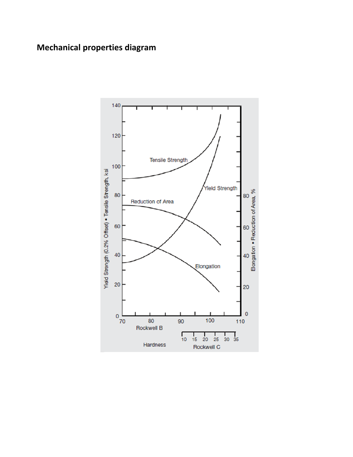#### **Mechanical properties diagram**